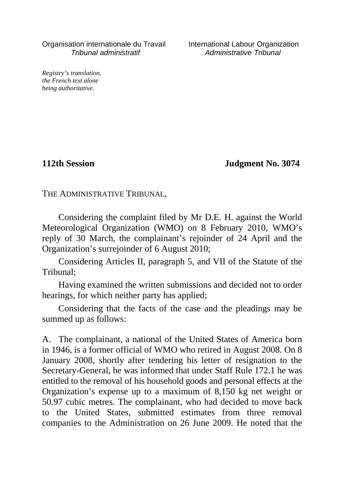Organisation internationale du Travail International Labour Organization Tribunal administratif Administrative Tribunal

*Registry's translation, the French text alone being authoritative.*

**112th Session Judgment No. 3074**

THE ADMINISTRATIVE TRIBUNAL,

Considering the complaint filed by Mr D.E. H. against the World Meteorological Organization (WMO) on 8 February 2010, WMO's reply of 30 March, the complainant's rejoinder of 24 April and the Organization's surrejoinder of 6 August 2010;

Considering Articles II, paragraph 5, and VII of the Statute of the Tribunal;

Having examined the written submissions and decided not to order hearings, for which neither party has applied;

Considering that the facts of the case and the pleadings may be summed up as follows:

A. The complainant, a national of the United States of America born in 1946, is a former official of WMO who retired in August 2008. On 8 January 2008, shortly after tendering his letter of resignation to the Secretary-General, he was informed that under Staff Rule 172.1 he was entitled to the removal of his household goods and personal effects at the Organization's expense up to a maximum of 8,150 kg net weight or 50.97 cubic metres. The complainant, who had decided to move back to the United States, submitted estimates from three removal companies to the Administration on 26 June 2009. He noted that the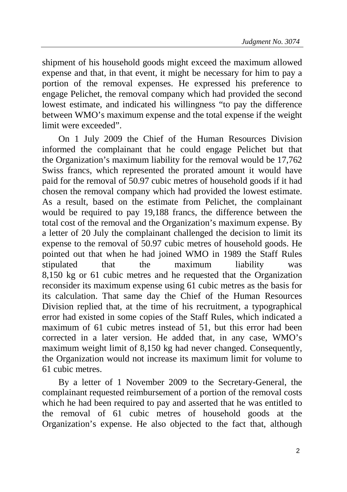shipment of his household goods might exceed the maximum allowed expense and that, in that event, it might be necessary for him to pay a portion of the removal expenses. He expressed his preference to engage Pelichet, the removal company which had provided the second lowest estimate, and indicated his willingness "to pay the difference between WMO's maximum expense and the total expense if the weight limit were exceeded".

On 1 July 2009 the Chief of the Human Resources Division informed the complainant that he could engage Pelichet but that the Organization's maximum liability for the removal would be 17,762 Swiss francs, which represented the prorated amount it would have paid for the removal of 50.97 cubic metres of household goods if it had chosen the removal company which had provided the lowest estimate. As a result, based on the estimate from Pelichet, the complainant would be required to pay 19,188 francs, the difference between the total cost of the removal and the Organization's maximum expense. By a letter of 20 July the complainant challenged the decision to limit its expense to the removal of 50.97 cubic metres of household goods. He pointed out that when he had joined WMO in 1989 the Staff Rules stipulated that the maximum liability was 8,150 kg or 61 cubic metres and he requested that the Organization reconsider its maximum expense using 61 cubic metres as the basis for its calculation. That same day the Chief of the Human Resources Division replied that, at the time of his recruitment, a typographical error had existed in some copies of the Staff Rules, which indicated a maximum of 61 cubic metres instead of 51, but this error had been corrected in a later version. He added that, in any case, WMO's maximum weight limit of 8,150 kg had never changed. Consequently, the Organization would not increase its maximum limit for volume to 61 cubic metres.

By a letter of 1 November 2009 to the Secretary-General, the complainant requested reimbursement of a portion of the removal costs which he had been required to pay and asserted that he was entitled to the removal of 61 cubic metres of household goods at the Organization's expense. He also objected to the fact that, although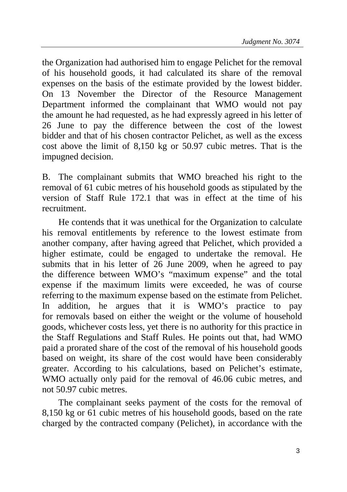the Organization had authorised him to engage Pelichet for the removal of his household goods, it had calculated its share of the removal expenses on the basis of the estimate provided by the lowest bidder. On 13 November the Director of the Resource Management Department informed the complainant that WMO would not pay the amount he had requested, as he had expressly agreed in his letter of 26 June to pay the difference between the cost of the lowest bidder and that of his chosen contractor Pelichet, as well as the excess cost above the limit of 8,150 kg or 50.97 cubic metres. That is the impugned decision.

B. The complainant submits that WMO breached his right to the removal of 61 cubic metres of his household goods as stipulated by the version of Staff Rule 172.1 that was in effect at the time of his recruitment.

He contends that it was unethical for the Organization to calculate his removal entitlements by reference to the lowest estimate from another company, after having agreed that Pelichet, which provided a higher estimate, could be engaged to undertake the removal. He submits that in his letter of 26 June 2009, when he agreed to pay the difference between WMO's "maximum expense" and the total expense if the maximum limits were exceeded, he was of course referring to the maximum expense based on the estimate from Pelichet. In addition, he argues that it is WMO's practice to pay for removals based on either the weight or the volume of household goods, whichever costs less, yet there is no authority for this practice in the Staff Regulations and Staff Rules. He points out that, had WMO paid a prorated share of the cost of the removal of his household goods based on weight, its share of the cost would have been considerably greater. According to his calculations, based on Pelichet's estimate, WMO actually only paid for the removal of 46.06 cubic metres, and not 50.97 cubic metres.

The complainant seeks payment of the costs for the removal of 8,150 kg or 61 cubic metres of his household goods, based on the rate charged by the contracted company (Pelichet), in accordance with the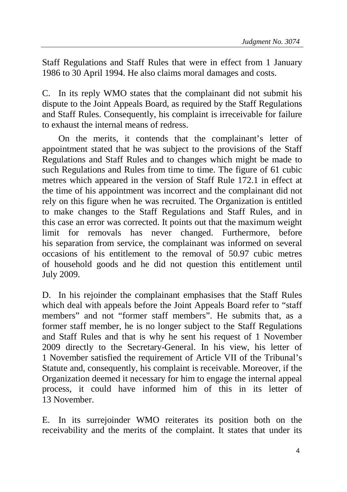Staff Regulations and Staff Rules that were in effect from 1 January 1986 to 30 April 1994. He also claims moral damages and costs.

C. In its reply WMO states that the complainant did not submit his dispute to the Joint Appeals Board, as required by the Staff Regulations and Staff Rules. Consequently, his complaint is irreceivable for failure to exhaust the internal means of redress.

On the merits, it contends that the complainant's letter of appointment stated that he was subject to the provisions of the Staff Regulations and Staff Rules and to changes which might be made to such Regulations and Rules from time to time. The figure of 61 cubic metres which appeared in the version of Staff Rule 172.1 in effect at the time of his appointment was incorrect and the complainant did not rely on this figure when he was recruited. The Organization is entitled to make changes to the Staff Regulations and Staff Rules, and in this case an error was corrected. It points out that the maximum weight limit for removals has never changed. Furthermore, before his separation from service, the complainant was informed on several occasions of his entitlement to the removal of 50.97 cubic metres of household goods and he did not question this entitlement until July 2009.

D. In his rejoinder the complainant emphasises that the Staff Rules which deal with appeals before the Joint Appeals Board refer to "staff members" and not "former staff members". He submits that, as a former staff member, he is no longer subject to the Staff Regulations and Staff Rules and that is why he sent his request of 1 November 2009 directly to the Secretary-General. In his view, his letter of 1 November satisfied the requirement of Article VII of the Tribunal's Statute and, consequently, his complaint is receivable. Moreover, if the Organization deemed it necessary for him to engage the internal appeal process, it could have informed him of this in its letter of 13 November.

E. In its surrejoinder WMO reiterates its position both on the receivability and the merits of the complaint. It states that under its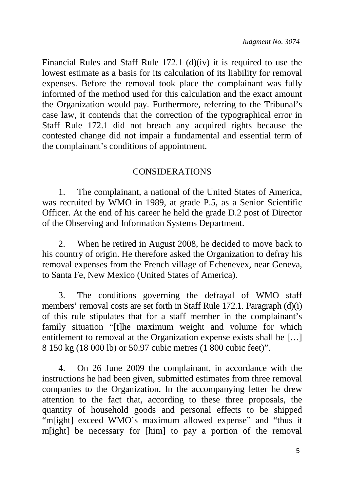Financial Rules and Staff Rule 172.1 (d)(iv) it is required to use the lowest estimate as a basis for its calculation of its liability for removal expenses. Before the removal took place the complainant was fully informed of the method used for this calculation and the exact amount the Organization would pay. Furthermore, referring to the Tribunal's case law, it contends that the correction of the typographical error in Staff Rule 172.1 did not breach any acquired rights because the contested change did not impair a fundamental and essential term of the complainant's conditions of appointment.

## CONSIDERATIONS

1. The complainant, a national of the United States of America, was recruited by WMO in 1989, at grade P.5, as a Senior Scientific Officer. At the end of his career he held the grade D.2 post of Director of the Observing and Information Systems Department.

2. When he retired in August 2008, he decided to move back to his country of origin. He therefore asked the Organization to defray his removal expenses from the French village of Echenevex, near Geneva, to Santa Fe, New Mexico (United States of America).

3. The conditions governing the defrayal of WMO staff members' removal costs are set forth in Staff Rule 172.1. Paragraph (d)(i) of this rule stipulates that for a staff member in the complainant's family situation "[t]he maximum weight and volume for which entitlement to removal at the Organization expense exists shall be […] 8 150 kg (18 000 lb) or 50.97 cubic metres (1 800 cubic feet)".

4. On 26 June 2009 the complainant, in accordance with the instructions he had been given, submitted estimates from three removal companies to the Organization. In the accompanying letter he drew attention to the fact that, according to these three proposals, the quantity of household goods and personal effects to be shipped "m[ight] exceed WMO's maximum allowed expense" and "thus it m[ight] be necessary for [him] to pay a portion of the removal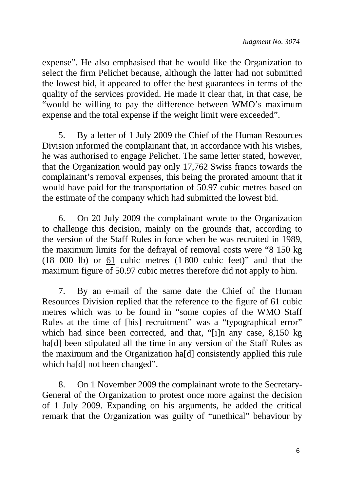expense". He also emphasised that he would like the Organization to select the firm Pelichet because, although the latter had not submitted the lowest bid, it appeared to offer the best guarantees in terms of the quality of the services provided. He made it clear that, in that case, he "would be willing to pay the difference between WMO's maximum expense and the total expense if the weight limit were exceeded".

5. By a letter of 1 July 2009 the Chief of the Human Resources Division informed the complainant that, in accordance with his wishes, he was authorised to engage Pelichet. The same letter stated, however, that the Organization would pay only 17,762 Swiss francs towards the complainant's removal expenses, this being the prorated amount that it would have paid for the transportation of 50.97 cubic metres based on the estimate of the company which had submitted the lowest bid.

6. On 20 July 2009 the complainant wrote to the Organization to challenge this decision, mainly on the grounds that, according to the version of the Staff Rules in force when he was recruited in 1989, the maximum limits for the defrayal of removal costs were "8 150 kg (18 000 lb) or 61 cubic metres (1 800 cubic feet)" and that the maximum figure of 50.97 cubic metres therefore did not apply to him.

7. By an e-mail of the same date the Chief of the Human Resources Division replied that the reference to the figure of 61 cubic metres which was to be found in "some copies of the WMO Staff Rules at the time of [his] recruitment" was a "typographical error" which had since been corrected, and that, "[i]n any case, 8,150 kg ha<sup>[d]</sup> been stipulated all the time in any version of the Staff Rules as the maximum and the Organization ha[d] consistently applied this rule which ha[d] not been changed".

8. On 1 November 2009 the complainant wrote to the Secretary-General of the Organization to protest once more against the decision of 1 July 2009. Expanding on his arguments, he added the critical remark that the Organization was guilty of "unethical" behaviour by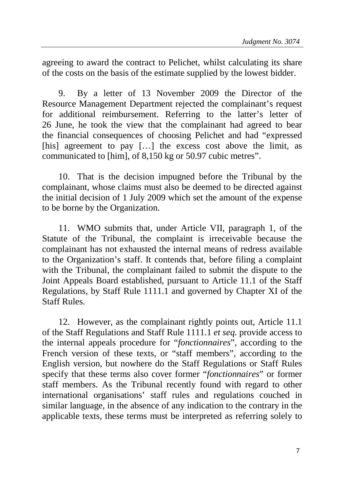agreeing to award the contract to Pelichet, whilst calculating its share of the costs on the basis of the estimate supplied by the lowest bidder.

9. By a letter of 13 November 2009 the Director of the Resource Management Department rejected the complainant's request for additional reimbursement. Referring to the latter's letter of 26 June, he took the view that the complainant had agreed to bear the financial consequences of choosing Pelichet and had "expressed [his] agreement to pay [...] the excess cost above the limit, as communicated to [him], of 8,150 kg or 50.97 cubic metres".

10. That is the decision impugned before the Tribunal by the complainant, whose claims must also be deemed to be directed against the initial decision of 1 July 2009 which set the amount of the expense to be borne by the Organization.

11. WMO submits that, under Article VII, paragraph 1, of the Statute of the Tribunal, the complaint is irreceivable because the complainant has not exhausted the internal means of redress available to the Organization's staff. It contends that, before filing a complaint with the Tribunal, the complainant failed to submit the dispute to the Joint Appeals Board established, pursuant to Article 11.1 of the Staff Regulations, by Staff Rule 1111.1 and governed by Chapter XI of the Staff Rules.

12. However, as the complainant rightly points out, Article 11.1 of the Staff Regulations and Staff Rule 1111.1 *et seq.* provide access to the internal appeals procedure for "*fonctionnaires*", according to the French version of these texts, or "staff members", according to the English version, but nowhere do the Staff Regulations or Staff Rules specify that these terms also cover former "*fonctionnaires*" or former staff members. As the Tribunal recently found with regard to other international organisations' staff rules and regulations couched in similar language, in the absence of any indication to the contrary in the applicable texts, these terms must be interpreted as referring solely to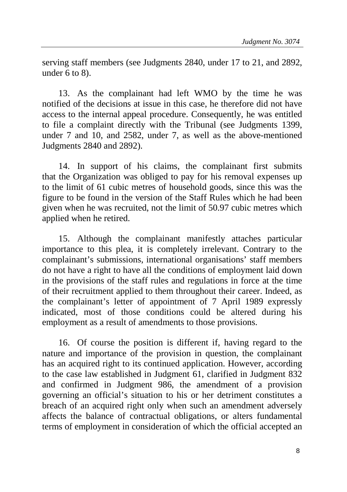serving staff members (see Judgments 2840, under 17 to 21, and 2892, under 6 to 8).

13. As the complainant had left WMO by the time he was notified of the decisions at issue in this case, he therefore did not have access to the internal appeal procedure. Consequently, he was entitled to file a complaint directly with the Tribunal (see Judgments 1399, under 7 and 10, and 2582, under 7, as well as the above-mentioned Judgments 2840 and 2892).

14. In support of his claims, the complainant first submits that the Organization was obliged to pay for his removal expenses up to the limit of 61 cubic metres of household goods, since this was the figure to be found in the version of the Staff Rules which he had been given when he was recruited, not the limit of 50.97 cubic metres which applied when he retired.

15. Although the complainant manifestly attaches particular importance to this plea, it is completely irrelevant. Contrary to the complainant's submissions, international organisations' staff members do not have a right to have all the conditions of employment laid down in the provisions of the staff rules and regulations in force at the time of their recruitment applied to them throughout their career. Indeed, as the complainant's letter of appointment of 7 April 1989 expressly indicated, most of those conditions could be altered during his employment as a result of amendments to those provisions.

16. Of course the position is different if, having regard to the nature and importance of the provision in question, the complainant has an acquired right to its continued application. However, according to the case law established in Judgment 61, clarified in Judgment 832 and confirmed in Judgment 986, the amendment of a provision governing an official's situation to his or her detriment constitutes a breach of an acquired right only when such an amendment adversely affects the balance of contractual obligations, or alters fundamental terms of employment in consideration of which the official accepted an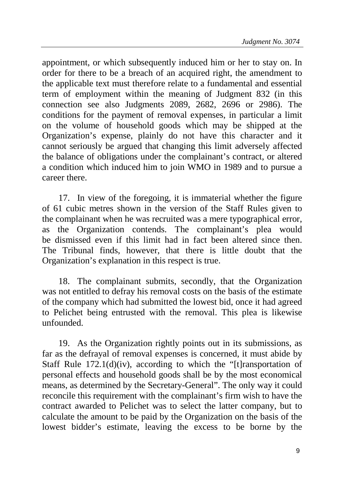appointment, or which subsequently induced him or her to stay on. In order for there to be a breach of an acquired right, the amendment to the applicable text must therefore relate to a fundamental and essential term of employment within the meaning of Judgment 832 (in this connection see also Judgments 2089, 2682, 2696 or 2986). The conditions for the payment of removal expenses, in particular a limit on the volume of household goods which may be shipped at the Organization's expense, plainly do not have this character and it cannot seriously be argued that changing this limit adversely affected the balance of obligations under the complainant's contract, or altered a condition which induced him to join WMO in 1989 and to pursue a career there.

17. In view of the foregoing, it is immaterial whether the figure of 61 cubic metres shown in the version of the Staff Rules given to the complainant when he was recruited was a mere typographical error, as the Organization contends. The complainant's plea would be dismissed even if this limit had in fact been altered since then. The Tribunal finds, however, that there is little doubt that the Organization's explanation in this respect is true.

18. The complainant submits, secondly, that the Organization was not entitled to defray his removal costs on the basis of the estimate of the company which had submitted the lowest bid, once it had agreed to Pelichet being entrusted with the removal. This plea is likewise unfounded.

19. As the Organization rightly points out in its submissions, as far as the defrayal of removal expenses is concerned, it must abide by Staff Rule  $172.1(d)(iv)$ , according to which the "[t]ransportation of personal effects and household goods shall be by the most economical means, as determined by the Secretary-General". The only way it could reconcile this requirement with the complainant's firm wish to have the contract awarded to Pelichet was to select the latter company, but to calculate the amount to be paid by the Organization on the basis of the lowest bidder's estimate, leaving the excess to be borne by the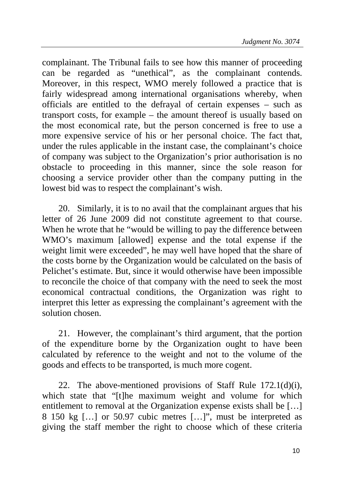complainant. The Tribunal fails to see how this manner of proceeding can be regarded as "unethical", as the complainant contends. Moreover, in this respect, WMO merely followed a practice that is fairly widespread among international organisations whereby, when officials are entitled to the defrayal of certain expenses – such as transport costs, for example – the amount thereof is usually based on the most economical rate, but the person concerned is free to use a more expensive service of his or her personal choice. The fact that, under the rules applicable in the instant case, the complainant's choice of company was subject to the Organization's prior authorisation is no obstacle to proceeding in this manner, since the sole reason for choosing a service provider other than the company putting in the lowest bid was to respect the complainant's wish.

20. Similarly, it is to no avail that the complainant argues that his letter of 26 June 2009 did not constitute agreement to that course. When he wrote that he "would be willing to pay the difference between WMO's maximum [allowed] expense and the total expense if the weight limit were exceeded", he may well have hoped that the share of the costs borne by the Organization would be calculated on the basis of Pelichet's estimate. But, since it would otherwise have been impossible to reconcile the choice of that company with the need to seek the most economical contractual conditions, the Organization was right to interpret this letter as expressing the complainant's agreement with the solution chosen.

21. However, the complainant's third argument, that the portion of the expenditure borne by the Organization ought to have been calculated by reference to the weight and not to the volume of the goods and effects to be transported, is much more cogent.

22. The above-mentioned provisions of Staff Rule 172.1(d)(i), which state that "[t]he maximum weight and volume for which entitlement to removal at the Organization expense exists shall be […] 8 150 kg […] or 50.97 cubic metres […]", must be interpreted as giving the staff member the right to choose which of these criteria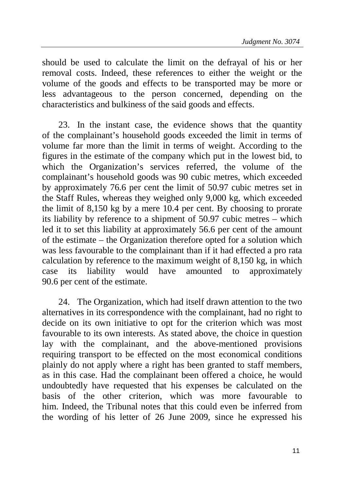should be used to calculate the limit on the defrayal of his or her removal costs. Indeed, these references to either the weight or the volume of the goods and effects to be transported may be more or less advantageous to the person concerned, depending on the characteristics and bulkiness of the said goods and effects.

23. In the instant case, the evidence shows that the quantity of the complainant's household goods exceeded the limit in terms of volume far more than the limit in terms of weight. According to the figures in the estimate of the company which put in the lowest bid, to which the Organization's services referred, the volume of the complainant's household goods was 90 cubic metres, which exceeded by approximately 76.6 per cent the limit of 50.97 cubic metres set in the Staff Rules, whereas they weighed only 9,000 kg, which exceeded the limit of 8,150 kg by a mere 10.4 per cent. By choosing to prorate its liability by reference to a shipment of 50.97 cubic metres – which led it to set this liability at approximately 56.6 per cent of the amount of the estimate – the Organization therefore opted for a solution which was less favourable to the complainant than if it had effected a pro rata calculation by reference to the maximum weight of 8,150 kg, in which case its liability would have amounted to approximately 90.6 per cent of the estimate.

24. The Organization, which had itself drawn attention to the two alternatives in its correspondence with the complainant, had no right to decide on its own initiative to opt for the criterion which was most favourable to its own interests. As stated above, the choice in question lay with the complainant, and the above-mentioned provisions requiring transport to be effected on the most economical conditions plainly do not apply where a right has been granted to staff members, as in this case. Had the complainant been offered a choice, he would undoubtedly have requested that his expenses be calculated on the basis of the other criterion, which was more favourable to him. Indeed, the Tribunal notes that this could even be inferred from the wording of his letter of 26 June 2009, since he expressed his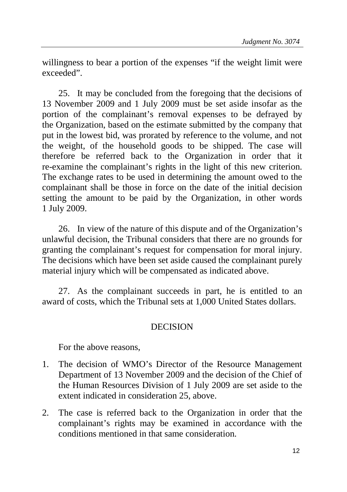willingness to bear a portion of the expenses "if the weight limit were exceeded".

25. It may be concluded from the foregoing that the decisions of 13 November 2009 and 1 July 2009 must be set aside insofar as the portion of the complainant's removal expenses to be defrayed by the Organization, based on the estimate submitted by the company that put in the lowest bid, was prorated by reference to the volume, and not the weight, of the household goods to be shipped. The case will therefore be referred back to the Organization in order that it re-examine the complainant's rights in the light of this new criterion. The exchange rates to be used in determining the amount owed to the complainant shall be those in force on the date of the initial decision setting the amount to be paid by the Organization, in other words 1 July 2009.

26. In view of the nature of this dispute and of the Organization's unlawful decision, the Tribunal considers that there are no grounds for granting the complainant's request for compensation for moral injury. The decisions which have been set aside caused the complainant purely material injury which will be compensated as indicated above.

27. As the complainant succeeds in part, he is entitled to an award of costs, which the Tribunal sets at 1,000 United States dollars.

## **DECISION**

For the above reasons,

- 1. The decision of WMO's Director of the Resource Management Department of 13 November 2009 and the decision of the Chief of the Human Resources Division of 1 July 2009 are set aside to the extent indicated in consideration 25, above.
- 2. The case is referred back to the Organization in order that the complainant's rights may be examined in accordance with the conditions mentioned in that same consideration.